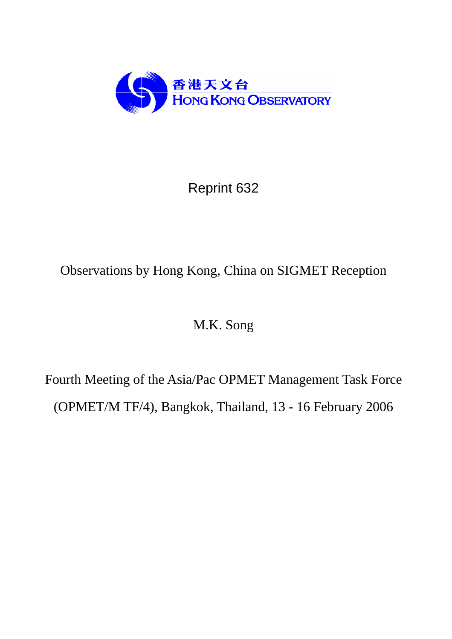

Reprint 632

# Observations by Hong Kong, China on SIGMET Reception

# M.K. Song

Fourth Meeting of the Asia/Pac OPMET Management Task Force (OPMET/M TF/4), Bangkok, Thailand, 13 - 16 February 2006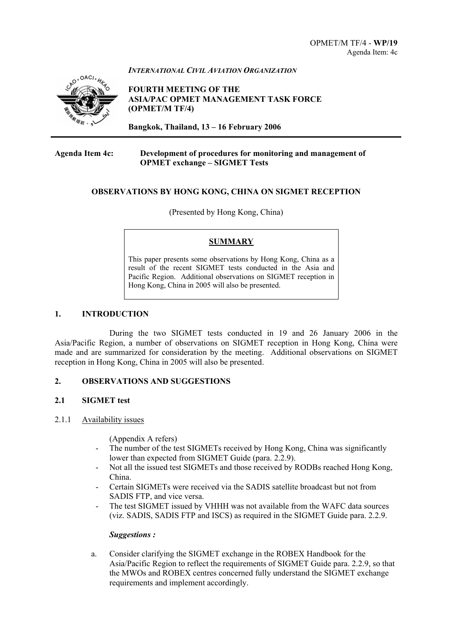

*INTERNATIONAL CIVIL AVIATION ORGANIZATION*

**FOURTH MEETING OF THE ASIA/PAC OPMET MANAGEMENT TASK FORCE (OPMET/M TF/4)** 

**Bangkok, Thailand, 13 – 16 February 2006**

#### **Agenda Item 4c: Development of procedures for monitoring and management of OPMET exchange – SIGMET Tests**

#### **OBSERVATIONS BY HONG KONG, CHINA ON SIGMET RECEPTION**

(Presented by Hong Kong, China)

#### **SUMMARY**

This paper presents some observations by Hong Kong, China as a result of the recent SIGMET tests conducted in the Asia and Pacific Region. Additional observations on SIGMET reception in Hong Kong, China in 2005 will also be presented.

#### **1. INTRODUCTION**

During the two SIGMET tests conducted in 19 and 26 January 2006 in the Asia/Pacific Region, a number of observations on SIGMET reception in Hong Kong, China were made and are summarized for consideration by the meeting. Additional observations on SIGMET reception in Hong Kong, China in 2005 will also be presented.

#### **2. OBSERVATIONS AND SUGGESTIONS**

#### **2.1 SIGMET test**

#### 2.1.1 Availability issues

(Appendix A refers)

- The number of the test SIGMETs received by Hong Kong, China was significantly lower than expected from SIGMET Guide (para. 2.2.9).
- Not all the issued test SIGMETs and those received by RODBs reached Hong Kong, China.
- Certain SIGMETs were received via the SADIS satellite broadcast but not from SADIS FTP, and vice versa.
- The test SIGMET issued by VHHH was not available from the WAFC data sources (viz. SADIS, SADIS FTP and ISCS) as required in the SIGMET Guide para. 2.2.9.

#### *Suggestions :*

a. Consider clarifying the SIGMET exchange in the ROBEX Handbook for the Asia/Pacific Region to reflect the requirements of SIGMET Guide para. 2.2.9, so that the MWOs and ROBEX centres concerned fully understand the SIGMET exchange requirements and implement accordingly.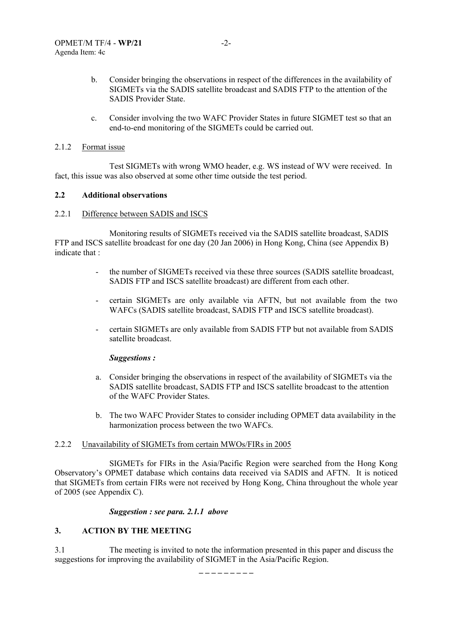- b. Consider bringing the observations in respect of the differences in the availability of SIGMETs via the SADIS satellite broadcast and SADIS FTP to the attention of the SADIS Provider State.
- c. Consider involving the two WAFC Provider States in future SIGMET test so that an end-to-end monitoring of the SIGMETs could be carried out.

#### 2.1.2 Format issue

Test SIGMETs with wrong WMO header, e.g. WS instead of WV were received. In fact, this issue was also observed at some other time outside the test period.

#### **2.2 Additional observations**

#### 2.2.1 Difference between SADIS and ISCS

Monitoring results of SIGMETs received via the SADIS satellite broadcast, SADIS FTP and ISCS satellite broadcast for one day (20 Jan 2006) in Hong Kong, China (see Appendix B) indicate that :

- the number of SIGMETs received via these three sources (SADIS satellite broadcast, SADIS FTP and ISCS satellite broadcast) are different from each other.
- certain SIGMETs are only available via AFTN, but not available from the two WAFCs (SADIS satellite broadcast, SADIS FTP and ISCS satellite broadcast).
- certain SIGMETs are only available from SADIS FTP but not available from SADIS satellite broadcast.

#### *Suggestions :*

- a. Consider bringing the observations in respect of the availability of SIGMETs via the SADIS satellite broadcast, SADIS FTP and ISCS satellite broadcast to the attention of the WAFC Provider States.
- b. The two WAFC Provider States to consider including OPMET data availability in the harmonization process between the two WAFCs.

#### 2.2.2 Unavailability of SIGMETs from certain MWOs/FIRs in 2005

SIGMETs for FIRs in the Asia/Pacific Region were searched from the Hong Kong Observatory's OPMET database which contains data received via SADIS and AFTN. It is noticed that SIGMETs from certain FIRs were not received by Hong Kong, China throughout the whole year of 2005 (see Appendix C).

#### *Suggestion : see para. 2.1.1 above*

#### **3. ACTION BY THE MEETING**

3.1 The meeting is invited to note the information presented in this paper and discuss the suggestions for improving the availability of SIGMET in the Asia/Pacific Region.

**\_ \_ \_ \_ \_ \_ \_ \_ \_**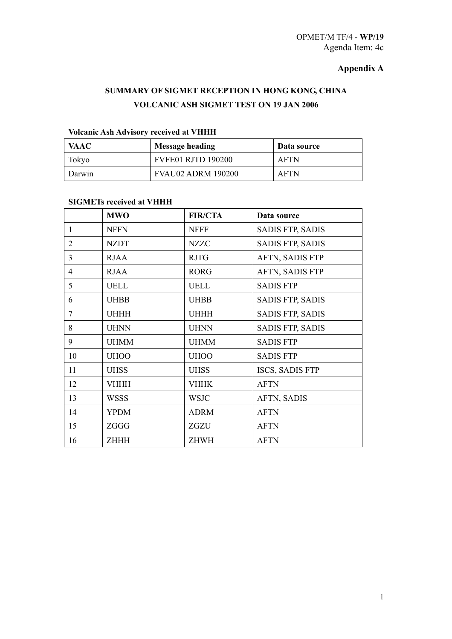## **Appendix A**

## **SUMMARY OF SIGMET RECEPTION IN HONG KONG, CHINA VOLCANIC ASH SIGMET TEST ON 19 JAN 2006**

## **Volcanic Ash Advisory received at VHHH**

| <b>VAAC</b> | <b>Message heading</b>    | Data source |
|-------------|---------------------------|-------------|
| Tokyo       | <b>FVFE01 RJTD 190200</b> | <b>AFTN</b> |
| Darwin      | <b>FVAU02 ADRM 190200</b> | <b>AFTN</b> |

#### **SIGMETs received at VHHH**

|                | <b>MWO</b>  | <b>FIR/CTA</b> | Data source             |
|----------------|-------------|----------------|-------------------------|
| 1              | <b>NFFN</b> | <b>NFFF</b>    | <b>SADIS FTP, SADIS</b> |
| 2              | <b>NZDT</b> | <b>NZZC</b>    | <b>SADIS FTP, SADIS</b> |
| 3              | <b>RJAA</b> | <b>RJTG</b>    | AFTN, SADIS FTP         |
| $\overline{4}$ | <b>RJAA</b> | <b>RORG</b>    | AFTN, SADIS FTP         |
| 5              | <b>UELL</b> | <b>UELL</b>    | <b>SADIS FTP</b>        |
| 6              | <b>UHBB</b> | <b>UHBB</b>    | SADIS FTP, SADIS        |
| 7              | <b>UHHH</b> | <b>UHHH</b>    | <b>SADIS FTP, SADIS</b> |
| 8              | <b>UHNN</b> | <b>UHNN</b>    | <b>SADIS FTP, SADIS</b> |
| 9              | <b>UHMM</b> | <b>UHMM</b>    | <b>SADIS FTP</b>        |
| 10             | <b>UHOO</b> | <b>UHOO</b>    | <b>SADIS FTP</b>        |
| 11             | <b>UHSS</b> | <b>UHSS</b>    | ISCS, SADIS FTP         |
| 12             | <b>VHHH</b> | <b>VHHK</b>    | <b>AFTN</b>             |
| 13             | <b>WSSS</b> | <b>WSJC</b>    | <b>AFTN, SADIS</b>      |
| 14             | <b>YPDM</b> | <b>ADRM</b>    | <b>AFTN</b>             |
| 15             | ZGGG        | ZGZU           | <b>AFTN</b>             |
| 16             | <b>ZHHH</b> | <b>ZHWH</b>    | <b>AFTN</b>             |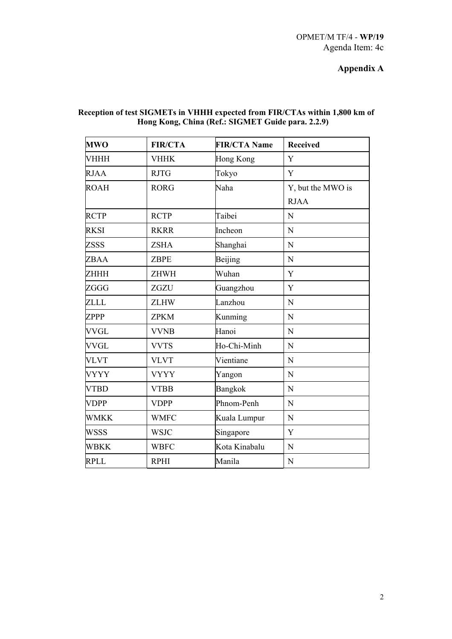## **Appendix A**

|  |                                                   | Reception of test SIGMETs in VHHH expected from FIR/CTAs within 1,800 km of |
|--|---------------------------------------------------|-----------------------------------------------------------------------------|
|  | Hong Kong, China (Ref.: SIGMET Guide para. 2.2.9) |                                                                             |

| <b>MWO</b>  | <b>FIR/CTA</b> | <b>FIR/CTA Name</b> | <b>Received</b>   |
|-------------|----------------|---------------------|-------------------|
| <b>VHHH</b> | <b>VHHK</b>    | <b>Hong Kong</b>    | Y                 |
| <b>RJAA</b> | <b>RJTG</b>    | Tokyo               | Y                 |
| <b>ROAH</b> | <b>RORG</b>    | Naha                | Y, but the MWO is |
|             |                |                     | <b>RJAA</b>       |
| <b>RCTP</b> | <b>RCTP</b>    | Taibei              | $\mathbf N$       |
| <b>RKSI</b> | <b>RKRR</b>    | Incheon             | N                 |
| <b>ZSSS</b> | <b>ZSHA</b>    | Shanghai            | N                 |
| ZBAA        | <b>ZBPE</b>    | Beijing             | $\mathbf N$       |
| <b>ZHHH</b> | <b>ZHWH</b>    | Wuhan               | Y                 |
| <b>ZGGG</b> | ZGZU           | Guangzhou           | Y                 |
| <b>ZLLL</b> | <b>ZLHW</b>    | Lanzhou             | N                 |
| <b>ZPPP</b> | <b>ZPKM</b>    | Kunming             | N                 |
| <b>VVGL</b> | <b>VVNB</b>    | Hanoi               | N                 |
| <b>VVGL</b> | <b>VVTS</b>    | Ho-Chi-Minh         | N                 |
| <b>VLVT</b> | <b>VLVT</b>    | Vientiane           | N                 |
| <b>VYYY</b> | <b>VYYY</b>    | Yangon              | $\mathbf N$       |
| <b>VTBD</b> | <b>VTBB</b>    | <b>Bangkok</b>      | N                 |
| <b>VDPP</b> | <b>VDPP</b>    | Phnom-Penh          | N                 |
| <b>WMKK</b> | <b>WMFC</b>    | Kuala Lumpur        | N                 |
| <b>WSSS</b> | <b>WSJC</b>    | Singapore           | $\mathbf Y$       |
| <b>WBKK</b> | <b>WBFC</b>    | Kota Kinabalu       | N                 |
| <b>RPLL</b> | <b>RPHI</b>    | Manila              | N                 |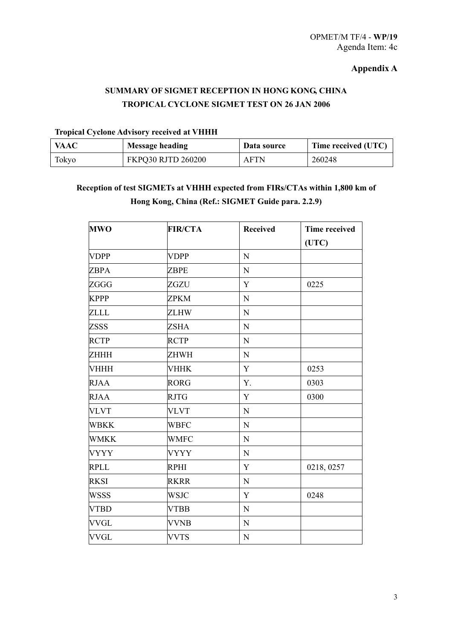### **Appendix A**

## **SUMMARY OF SIGMET RECEPTION IN HONG KONG, CHINA TROPICAL CYCLONE SIGMET TEST ON 26 JAN 2006**

## **Tropical Cyclone Advisory received at VHHH**

| <b>VAAC</b> | <b>Message heading</b>    | Data source | Time received (UTC) |
|-------------|---------------------------|-------------|---------------------|
| Tokyo       | <b>FKPQ30 RJTD 260200</b> | <b>AFTN</b> | 260248              |

## **Reception of test SIGMETs at VHHH expected from FIRs/CTAs within 1,800 km of Hong Kong, China (Ref.: SIGMET Guide para. 2.2.9)**

| <b>MWO</b>  | <b>FIR/CTA</b> | <b>Received</b> | <b>Time received</b> |
|-------------|----------------|-----------------|----------------------|
|             |                |                 | (UTC)                |
| <b>VDPP</b> | <b>VDPP</b>    | $\mathbf N$     |                      |
| <b>ZBPA</b> | <b>ZBPE</b>    | $\mathbf N$     |                      |
| ZGGG        | ZGZU           | Y               | 0225                 |
| <b>KPPP</b> | ZPKM           | ${\bf N}$       |                      |
| <b>ZLLL</b> | <b>ZLHW</b>    | $\mathbf N$     |                      |
| <b>ZSSS</b> | <b>ZSHA</b>    | $\mathbf N$     |                      |
| <b>RCTP</b> | <b>RCTP</b>    | $\mathbf N$     |                      |
| ZHHH        | <b>ZHWH</b>    | $\mathbf N$     |                      |
| <b>VHHH</b> | <b>VHHK</b>    | $\mathbf Y$     | 0253                 |
| <b>RJAA</b> | <b>RORG</b>    | Y.              | 0303                 |
| <b>RJAA</b> | <b>RJTG</b>    | $\mathbf Y$     | 0300                 |
| <b>VLVT</b> | <b>VLVT</b>    | $\mathbf N$     |                      |
| <b>WBKK</b> | <b>WBFC</b>    | $\mathbf N$     |                      |
| <b>WMKK</b> | <b>WMFC</b>    | ${\bf N}$       |                      |
| <b>VYYY</b> | <b>VYYY</b>    | $\mathbf N$     |                      |
| <b>RPLL</b> | <b>RPHI</b>    | Y               | 0218, 0257           |
| <b>RKSI</b> | <b>RKRR</b>    | ${\bf N}$       |                      |
| <b>WSSS</b> | <b>WSJC</b>    | Y               | 0248                 |
| <b>VTBD</b> | <b>VTBB</b>    | ${\bf N}$       |                      |
| <b>VVGL</b> | <b>VVNB</b>    | $\mathbf N$     |                      |
| <b>VVGL</b> | <b>VVTS</b>    | ${\bf N}$       |                      |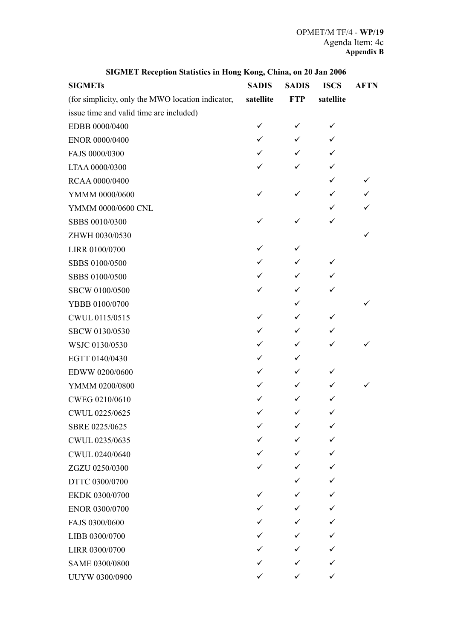| <b>SIGMETs</b>                                    | <b>SADIS</b> | <b>SADIS</b> | <b>ISCS</b> | <b>AFTN</b> |
|---------------------------------------------------|--------------|--------------|-------------|-------------|
| (for simplicity, only the MWO location indicator, | satellite    | <b>FTP</b>   | satellite   |             |
| issue time and valid time are included)           |              |              |             |             |
| EDBB 0000/0400                                    | $\checkmark$ | ✓            | ✓           |             |
| ENOR 0000/0400                                    | ✓            | ✓            | ✓           |             |
| FAJS 0000/0300                                    | ✓            | ✓            | ✓           |             |
| LTAA 0000/0300                                    | ✓            | $\checkmark$ | ✓           |             |
| RCAA 0000/0400                                    |              |              | ✓           | ✓           |
| YMMM 0000/0600                                    | ✓            | ✓            | ✓           | ✓           |
| YMMM 0000/0600 CNL                                |              |              | ✓           | ✓           |
| SBBS 0010/0300                                    |              | ✓            | ✓           |             |
| ZHWH 0030/0530                                    |              |              |             |             |
| LIRR 0100/0700                                    | ✓            | ✓            |             |             |
| SBBS 0100/0500                                    | ✓            | ✓            | ✓           |             |
| SBBS 0100/0500                                    | ✓            | ✓            | ✓           |             |
| SBCW 0100/0500                                    | ✓            | ✓            | ✓           |             |
| YBBB 0100/0700                                    |              | ✓            |             |             |
| CWUL 0115/0515                                    | ✓            | ✓            | ✓           |             |
| SBCW 0130/0530                                    | ✓            | ✓            | ✓           |             |
| WSJC 0130/0530                                    | ✓            | ✓            | ✓           |             |
| EGTT 0140/0430                                    | ✓            | ✓            |             |             |
| EDWW 0200/0600                                    | ✓            | ✓            | ✓           |             |
| YMMM 0200/0800                                    | ✓            | ✓            | ✓           |             |
| CWEG 0210/0610                                    | ✓            | ✓            | ✓           |             |
| CWUL 0225/0625                                    | ✓            | ✓            | ✓           |             |
| SBRE 0225/0625                                    |              | ✓            | ✓           |             |
| CWUL 0235/0635                                    |              | ✓            | ✓           |             |
| CWUL 0240/0640                                    |              | ✓            | ✓           |             |
| ZGZU 0250/0300                                    |              | ✓            | ✓           |             |
| DTTC 0300/0700                                    |              | ✓            | ✓           |             |
| EKDK 0300/0700                                    |              | ✓            | ✓           |             |
| ENOR 0300/0700                                    |              |              | ✓           |             |
| FAJS 0300/0600                                    |              | ✓            | ✓           |             |
| LIBB 0300/0700                                    |              |              | ✓           |             |
| LIRR 0300/0700                                    |              | ✓            | ✓           |             |
| SAME 0300/0800                                    |              | ✓            | ✓           |             |
| UUYW 0300/0900                                    |              | ✓            | ✓           |             |

## **SIGMET Reception Statistics in Hong Kong, China, on 20 Jan 2006**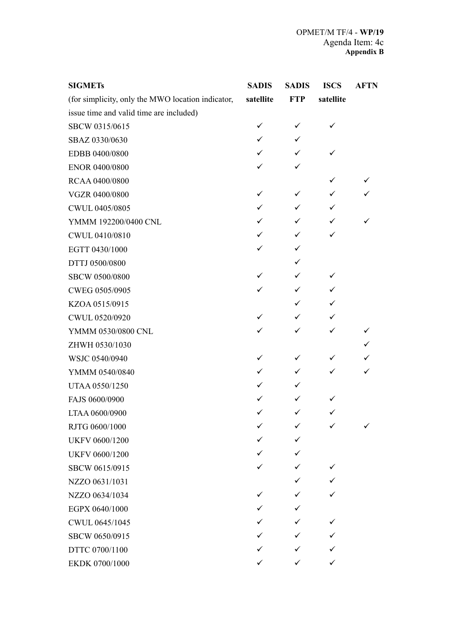| <b>SIGMETs</b>                                    | <b>SADIS</b> | <b>SADIS</b> | <b>ISCS</b>  | <b>AFTN</b> |
|---------------------------------------------------|--------------|--------------|--------------|-------------|
| (for simplicity, only the MWO location indicator, | satellite    | <b>FTP</b>   | satellite    |             |
| issue time and valid time are included)           |              |              |              |             |
| SBCW 0315/0615                                    | ✓            | ✓            |              |             |
| SBAZ 0330/0630                                    | ✓            | ✓            |              |             |
| EDBB 0400/0800                                    | ✓            | ✓            |              |             |
| ENOR 0400/0800                                    | ✓            | ✓            |              |             |
| RCAA 0400/0800                                    |              |              | ✓            |             |
| VGZR 0400/0800                                    | ✓            | ✓            | ✓            |             |
| CWUL 0405/0805                                    | ✓            | ✓            | ✓            |             |
| YMMM 192200/0400 CNL                              | ✓            | ✓            | ✓            |             |
| CWUL 0410/0810                                    | ✓            | ✓            | $\checkmark$ |             |
| EGTT 0430/1000                                    | ✓            | ✓            |              |             |
| DTTJ 0500/0800                                    |              | ✓            |              |             |
| SBCW 0500/0800                                    | ✓            | ✓            | ✓            |             |
| CWEG 0505/0905                                    | ✓            | ✓            | ✓            |             |
| KZOA 0515/0915                                    |              | ✓            | ✓            |             |
| CWUL 0520/0920                                    | ✓            | ✓            | ✓            |             |
| YMMM 0530/0800 CNL                                | ✓            | ✓            | ✓            |             |
| ZHWH 0530/1030                                    |              |              |              |             |
| WSJC 0540/0940                                    | ✓            | ✓            | ✓            |             |
| YMMM 0540/0840                                    | ✓            | ✓            | ✓            |             |
| UTAA 0550/1250                                    | ✓            | ✓            |              |             |
| FAJS 0600/0900                                    | ✓            | ✓            |              |             |
| LTAA 0600/0900                                    | ✓            | ✓            |              |             |
| RJTG 0600/1000                                    | ✓            | ✓            | ✓            |             |
| UKFV 0600/1200                                    |              | ✓            |              |             |
| <b>UKFV 0600/1200</b>                             | ✓            | ✓            |              |             |
| SBCW 0615/0915                                    | ✓            | ✓            | ✓            |             |
| NZZO 0631/1031                                    |              | ✓            | ✓            |             |
| NZZO 0634/1034                                    | ✓            | ✓            |              |             |
| EGPX 0640/1000                                    | ✓            | ✓            |              |             |
| CWUL 0645/1045                                    | ✓            | ✓            |              |             |
| SBCW 0650/0915                                    | ✓            | ✓            |              |             |
| DTTC 0700/1100                                    | ✓            | ✓            | ✓            |             |
| EKDK 0700/1000                                    | ✓            | ✓            | ✓            |             |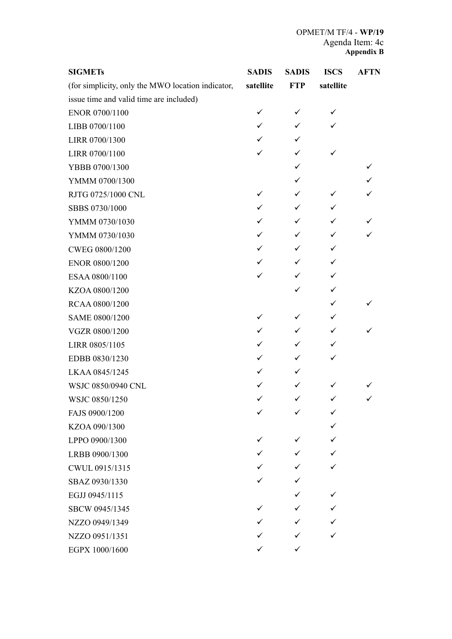| <b>SIGMETs</b>                                    | <b>SADIS</b> | <b>SADIS</b> | <b>ISCS</b> | <b>AFTN</b> |
|---------------------------------------------------|--------------|--------------|-------------|-------------|
| (for simplicity, only the MWO location indicator, | satellite    | <b>FTP</b>   | satellite   |             |
| issue time and valid time are included)           |              |              |             |             |
| ENOR 0700/1100                                    | ✓            | ✓            | ✓           |             |
| LIBB 0700/1100                                    | ✓            | ✓            | ✓           |             |
| LIRR 0700/1300                                    | ✓            | ✓            |             |             |
| LIRR 0700/1100                                    |              | ✓            | ✓           |             |
| YBBB 0700/1300                                    |              | ✓            |             |             |
| YMMM 0700/1300                                    |              | ✓            |             |             |
| RJTG 0725/1000 CNL                                | ✓            | ✓            | ✓           |             |
| SBBS 0730/1000                                    | ✓            | ✓            | ✓           |             |
| YMMM 0730/1030                                    | ✓            | ✓            | ✓           |             |
| YMMM 0730/1030                                    | ✓            | ✓            | ✓           |             |
| CWEG 0800/1200                                    | ✓            | ✓            | ✓           |             |
| ENOR 0800/1200                                    | ✓            | ✓            | ✓           |             |
| ESAA 0800/1100                                    | ✓            | ✓            | ✓           |             |
| KZOA 0800/1200                                    |              | ✓            | ✓           |             |
| RCAA 0800/1200                                    |              |              | ✓           |             |
| SAME 0800/1200                                    | ✓            | ✓            | ✓           |             |
| VGZR 0800/1200                                    | ✓            | ✓            | ✓           |             |
| LIRR 0805/1105                                    | ✓            | ✓            | ✓           |             |
| EDBB 0830/1230                                    | ✓            | ✓            |             |             |
| LKAA 0845/1245                                    | ✓            | ✓            |             |             |
| WSJC 0850/0940 CNL                                |              |              |             |             |
| WSJC 0850/1250                                    |              | ✓            |             |             |
| FAJS 0900/1200                                    | ✓            | $\checkmark$ | ✓           |             |
| KZOA 090/1300                                     |              |              |             |             |
| LPPO 0900/1300                                    | ✓            |              |             |             |
| LRBB 0900/1300                                    |              |              |             |             |
| CWUL 0915/1315                                    |              |              |             |             |
| SBAZ 0930/1330                                    |              |              |             |             |
| EGJJ 0945/1115                                    |              |              | ✓           |             |
| SBCW 0945/1345                                    |              |              |             |             |
| NZZO 0949/1349                                    |              |              |             |             |
| NZZO 0951/1351                                    |              |              |             |             |
| EGPX 1000/1600                                    |              | ✓            |             |             |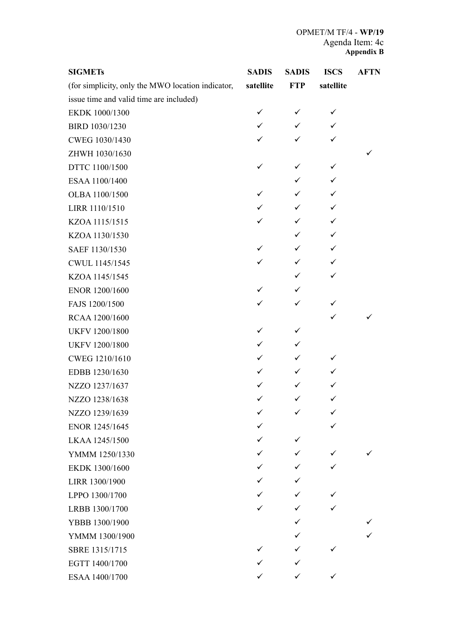| <b>SIGMETs</b>                                    | <b>SADIS</b> | <b>SADIS</b> | <b>ISCS</b>  | <b>AFTN</b> |
|---------------------------------------------------|--------------|--------------|--------------|-------------|
| (for simplicity, only the MWO location indicator, | satellite    | <b>FTP</b>   | satellite    |             |
| issue time and valid time are included)           |              |              |              |             |
| EKDK 1000/1300                                    | ✓            | ✓            | ✓            |             |
| BIRD 1030/1230                                    | ✓            | ✓            | $\checkmark$ |             |
| CWEG 1030/1430                                    | ✓            | ✓            | ✓            |             |
| ZHWH 1030/1630                                    |              |              |              |             |
| DTTC 1100/1500                                    | ✓            | ✓            | ✓            |             |
| ESAA 1100/1400                                    |              | ✓            | ✓            |             |
| OLBA 1100/1500                                    | ✓            | ✓            | ✓            |             |
| LIRR 1110/1510                                    | ✓            | ✓            | $\checkmark$ |             |
| KZOA 1115/1515                                    | ✓            | ✓            | ✓            |             |
| KZOA 1130/1530                                    |              | ✓            | ✓            |             |
| SAEF 1130/1530                                    | ✓            | ✓            | ✓            |             |
| CWUL 1145/1545                                    | ✓            | ✓            | ✓            |             |
| KZOA 1145/1545                                    |              | ✓            | ✓            |             |
| ENOR 1200/1600                                    | ✓            | ✓            |              |             |
| FAJS 1200/1500                                    | ✓            | ✓            | ✓            |             |
| RCAA 1200/1600                                    |              |              | ✓            |             |
| UKFV 1200/1800                                    | ✓            | ✓            |              |             |
| UKFV 1200/1800                                    | ✓            | ✓            |              |             |
| CWEG 1210/1610                                    | ✓            | ✓            | ✓            |             |
| EDBB 1230/1630                                    | ✓            | ✓            | ✓            |             |
| NZZO 1237/1637                                    | ✓            | ✓            | ✓            |             |
| NZZO 1238/1638                                    | ✓            | ✓            | ✓            |             |
| NZZO 1239/1639                                    | ✓            | ✓            | ✓            |             |
| ENOR 1245/1645                                    | ✓            |              |              |             |
| LKAA 1245/1500                                    | ✓            | ✓            |              |             |
| YMMM 1250/1330                                    | ✓            | ✓            | ✓            |             |
| EKDK 1300/1600                                    | ✓            | ✓            | ✓            |             |
| LIRR 1300/1900                                    | ✓            | ✓            |              |             |
| LPPO 1300/1700                                    | ✓            | ✓            |              |             |
| LRBB 1300/1700                                    | ✓            | ✓            |              |             |
| YBBB 1300/1900                                    |              | ✓            |              |             |
| YMMM 1300/1900                                    |              | ✓            |              |             |
| SBRE 1315/1715                                    | ✓            | ✓            |              |             |
| EGTT 1400/1700                                    | ✓            | ✓            |              |             |
| ESAA 1400/1700                                    | ✓            | ✓            | ✓            |             |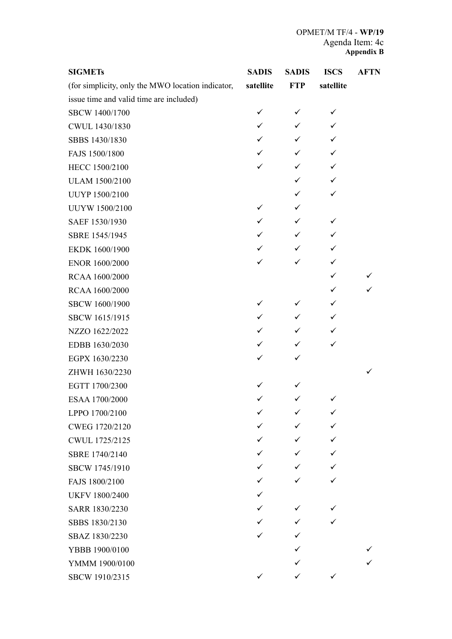| <b>SIGMETs</b>                                    | <b>SADIS</b> | <b>SADIS</b> | <b>ISCS</b> | <b>AFTN</b> |
|---------------------------------------------------|--------------|--------------|-------------|-------------|
| (for simplicity, only the MWO location indicator, | satellite    | <b>FTP</b>   | satellite   |             |
| issue time and valid time are included)           |              |              |             |             |
| SBCW 1400/1700                                    | ✓            | ✓            | ✓           |             |
| CWUL 1430/1830                                    | ✓            | ✓            | ✓           |             |
| SBBS 1430/1830                                    | ✓            | ✓            | ✓           |             |
| FAJS 1500/1800                                    | ✓            | ✓            | ✓           |             |
| HECC 1500/2100                                    | ✓            | ✓            | ✓           |             |
| <b>ULAM 1500/2100</b>                             |              | ✓            | ✓           |             |
| UUYP 1500/2100                                    |              | ✓            | ✓           |             |
| UUYW 1500/2100                                    | ✓            | ✓            |             |             |
| SAEF 1530/1930                                    | ✓            | ✓            | ✓           |             |
| SBRE 1545/1945                                    | ✓            | ✓            | ✓           |             |
| EKDK 1600/1900                                    | ✓            | ✓            | ✓           |             |
| ENOR 1600/2000                                    | ✓            | ✓            | ✓           |             |
| RCAA 1600/2000                                    |              |              | ✓           |             |
| RCAA 1600/2000                                    |              |              | ✓           |             |
| SBCW 1600/1900                                    | ✓            | ✓            | ✓           |             |
| SBCW 1615/1915                                    | ✓            | ✓            | ✓           |             |
| NZZO 1622/2022                                    | ✓            | ✓            | ✓           |             |
| EDBB 1630/2030                                    | ✓            | $\checkmark$ | ✓           |             |
| EGPX 1630/2230                                    | ✓            | ✓            |             |             |
| ZHWH 1630/2230                                    |              |              |             |             |
| EGTT 1700/2300                                    | ✓            | ✓            |             |             |
| ESAA 1700/2000                                    | ✓            | ✓            | ✓           |             |
| LPPO 1700/2100                                    | ✓            | ✓            | ✓           |             |
| CWEG 1720/2120                                    | ✓            | ✓            | ✓           |             |
| CWUL 1725/2125                                    | ✓            | ✓            | ✓           |             |
| SBRE 1740/2140                                    | ✓            | ✓            | ✓           |             |
| SBCW 1745/1910                                    | ✓            | ✓            | ✓           |             |
| FAJS 1800/2100                                    | ✓            | ✓            | ✓           |             |
| <b>UKFV 1800/2400</b>                             | ✓            |              |             |             |
| SARR 1830/2230                                    | ✓            | ✓            |             |             |
| SBBS 1830/2130                                    | ✓            | ✓            | ✓           |             |
| SBAZ 1830/2230                                    | ✓            | ✓            |             |             |
| YBBB 1900/0100                                    |              | ✓            |             |             |
| YMMM 1900/0100                                    |              | ✓            |             |             |
| SBCW 1910/2315                                    | ✓            | ✓            | ✓           |             |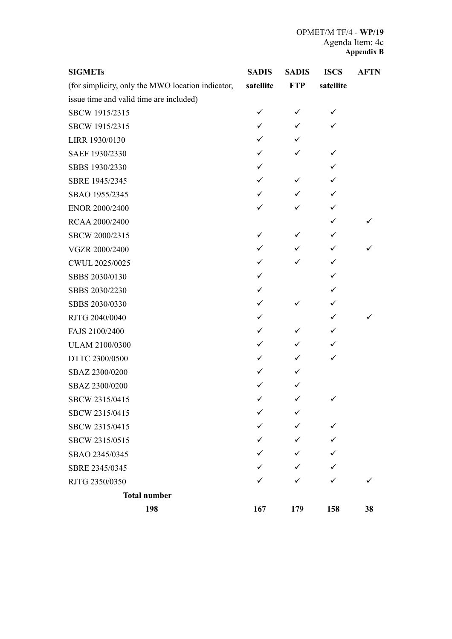| <b>SIGMETs</b>                                    | <b>SADIS</b> | <b>SADIS</b> | <b>ISCS</b>  | <b>AFTN</b> |
|---------------------------------------------------|--------------|--------------|--------------|-------------|
| (for simplicity, only the MWO location indicator, | satellite    | <b>FTP</b>   | satellite    |             |
| issue time and valid time are included)           |              |              |              |             |
| SBCW 1915/2315                                    | ✓            | ✓            | ✓            |             |
| SBCW 1915/2315                                    | ✓            | ✓            | ✓            |             |
| LIRR 1930/0130                                    |              | ✓            |              |             |
| SAEF 1930/2330                                    |              | ✓            | ✓            |             |
| SBBS 1930/2330                                    | ✓            |              | ✓            |             |
| SBRE 1945/2345                                    | ✓            | ✓            | ✓            |             |
| SBAO 1955/2345                                    | ✓            | ✓            | ✓            |             |
| ENOR 2000/2400                                    |              |              | ✓            |             |
| RCAA 2000/2400                                    |              |              | ✓            |             |
| SBCW 2000/2315                                    | ✓            | ✓            | ✓            |             |
| VGZR 2000/2400                                    | ✓            | ✓            | ✓            |             |
| CWUL 2025/0025                                    |              |              | ✓            |             |
| SBBS 2030/0130                                    | ✓            |              | ✓            |             |
| SBBS 2030/2230                                    | ✓            |              |              |             |
| SBBS 2030/0330                                    | ✓            | ✓            |              |             |
| RJTG 2040/0040                                    | ✓            |              | $\checkmark$ |             |
| FAJS 2100/2400                                    | ✓            | ✓            | $\checkmark$ |             |
| ULAM 2100/0300                                    | ✓            | ✓            |              |             |
| DTTC 2300/0500                                    | ✓            | ✓            |              |             |
| SBAZ 2300/0200                                    |              | ✓            |              |             |
| SBAZ 2300/0200                                    |              | ✓            |              |             |
| SBCW 2315/0415                                    |              | ✓            |              |             |
| SBCW 2315/0415                                    | ✓            | ✓            |              |             |
| SBCW 2315/0415                                    |              |              |              |             |
| SBCW 2315/0515                                    |              |              |              |             |
| SBAO 2345/0345                                    |              |              |              |             |
| SBRE 2345/0345                                    |              |              |              |             |
| RJTG 2350/0350                                    |              |              |              |             |
| <b>Total number</b>                               |              |              |              |             |
| 198                                               | 167          | 179          | 158          | 38          |